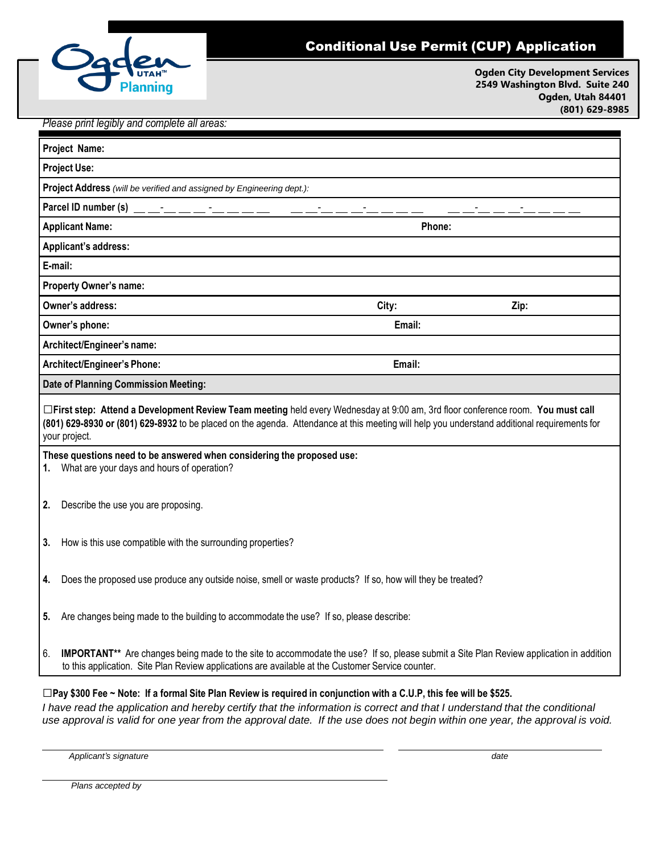

## Conditional Use Permit (CUP) Application

**Ogden City Development Services 2549 Washington Blvd. Suite 240 Ogden, Utah 84401 (801) 629-8985**

## *Please print legibly and complete all areas:*

| Project Name:                                                                                                                                                                                                                                                                                    |                                                                                                                                                                                                                                                    |        |      |  |
|--------------------------------------------------------------------------------------------------------------------------------------------------------------------------------------------------------------------------------------------------------------------------------------------------|----------------------------------------------------------------------------------------------------------------------------------------------------------------------------------------------------------------------------------------------------|--------|------|--|
| <b>Project Use:</b>                                                                                                                                                                                                                                                                              |                                                                                                                                                                                                                                                    |        |      |  |
| Project Address (will be verified and assigned by Engineering dept.):                                                                                                                                                                                                                            |                                                                                                                                                                                                                                                    |        |      |  |
| Parcel ID number (s) $\frac{1}{2}$ $\frac{1}{2}$ $\frac{1}{2}$ $\frac{1}{2}$ $\frac{1}{2}$ $\frac{1}{2}$ $\frac{1}{2}$ $\frac{1}{2}$ $\frac{1}{2}$                                                                                                                                               |                                                                                                                                                                                                                                                    |        |      |  |
| <b>Applicant Name:</b>                                                                                                                                                                                                                                                                           |                                                                                                                                                                                                                                                    | Phone: |      |  |
| Applicant's address:                                                                                                                                                                                                                                                                             |                                                                                                                                                                                                                                                    |        |      |  |
| E-mail:                                                                                                                                                                                                                                                                                          |                                                                                                                                                                                                                                                    |        |      |  |
| <b>Property Owner's name:</b>                                                                                                                                                                                                                                                                    |                                                                                                                                                                                                                                                    |        |      |  |
|                                                                                                                                                                                                                                                                                                  | Owner's address:                                                                                                                                                                                                                                   | City:  | Zip: |  |
| Owner's phone:                                                                                                                                                                                                                                                                                   |                                                                                                                                                                                                                                                    | Email: |      |  |
| Architect/Engineer's name:                                                                                                                                                                                                                                                                       |                                                                                                                                                                                                                                                    |        |      |  |
| Architect/Engineer's Phone:                                                                                                                                                                                                                                                                      |                                                                                                                                                                                                                                                    | Email: |      |  |
| <b>Date of Planning Commission Meeting:</b>                                                                                                                                                                                                                                                      |                                                                                                                                                                                                                                                    |        |      |  |
| □First step: Attend a Development Review Team meeting held every Wednesday at 9:00 am, 3rd floor conference room. You must call<br>(801) 629-8930 or (801) 629-8932 to be placed on the agenda. Attendance at this meeting will help you understand additional requirements for<br>your project. |                                                                                                                                                                                                                                                    |        |      |  |
| These questions need to be answered when considering the proposed use:<br>1. What are your days and hours of operation?                                                                                                                                                                          |                                                                                                                                                                                                                                                    |        |      |  |
| 2.                                                                                                                                                                                                                                                                                               | Describe the use you are proposing.                                                                                                                                                                                                                |        |      |  |
| 3.                                                                                                                                                                                                                                                                                               | How is this use compatible with the surrounding properties?                                                                                                                                                                                        |        |      |  |
| 4.                                                                                                                                                                                                                                                                                               | Does the proposed use produce any outside noise, smell or waste products? If so, how will they be treated?                                                                                                                                         |        |      |  |
|                                                                                                                                                                                                                                                                                                  | Are changes being made to the building to accommodate the use? If so, please describe:                                                                                                                                                             |        |      |  |
| 6.                                                                                                                                                                                                                                                                                               | <b>IMPORTANT**</b> Are changes being made to the site to accommodate the use? If so, please submit a Site Plan Review application in addition<br>to this application. Site Plan Review applications are available at the Customer Service counter. |        |      |  |
| $\Box$ Pay \$300 Fee ~ Note: If a formal Site Plan Review is required in conjunction with a C.U.P, this fee will be \$525.                                                                                                                                                                       |                                                                                                                                                                                                                                                    |        |      |  |

I have read the application and hereby certify that the information is correct and that I understand that the conditional use approval is valid for one year from the approval date. If the use does not begin within one year, the approval is void.

*Applicant's signature date*

*Plans accepted by*